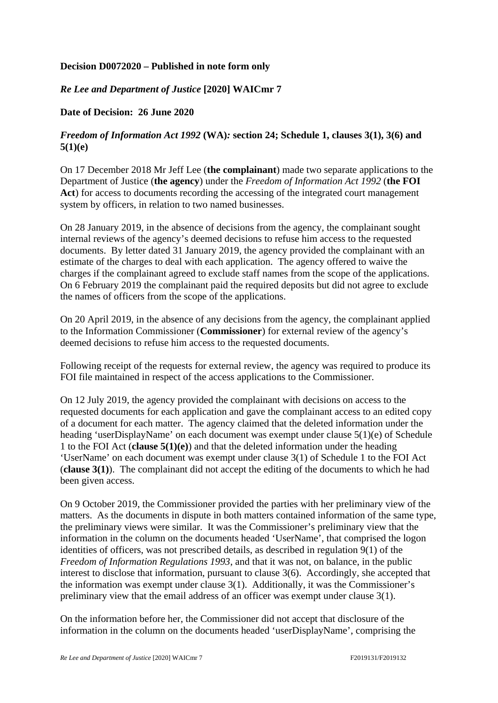## **Decision D0072020 – Published in note form only**

## *Re Lee and Department of Justice* **[2020] WAICmr 7**

## **Date of Decision: 26 June 2020**

## *Freedom of Information Act 1992* **(WA)***:* **section 24; Schedule 1, clauses 3(1), 3(6) and 5(1)(e)**

On 17 December 2018 Mr Jeff Lee (**the complainant**) made two separate applications to the Department of Justice (**the agency**) under the *Freedom of Information Act 1992* (**the FOI**  Act) for access to documents recording the accessing of the integrated court management system by officers, in relation to two named businesses.

On 28 January 2019, in the absence of decisions from the agency, the complainant sought internal reviews of the agency's deemed decisions to refuse him access to the requested documents. By letter dated 31 January 2019, the agency provided the complainant with an estimate of the charges to deal with each application. The agency offered to waive the charges if the complainant agreed to exclude staff names from the scope of the applications. On 6 February 2019 the complainant paid the required deposits but did not agree to exclude the names of officers from the scope of the applications.

On 20 April 2019, in the absence of any decisions from the agency, the complainant applied to the Information Commissioner (**Commissioner**) for external review of the agency's deemed decisions to refuse him access to the requested documents.

Following receipt of the requests for external review, the agency was required to produce its FOI file maintained in respect of the access applications to the Commissioner.

On 12 July 2019, the agency provided the complainant with decisions on access to the requested documents for each application and gave the complainant access to an edited copy of a document for each matter. The agency claimed that the deleted information under the heading 'userDisplayName' on each document was exempt under clause 5(1)(e) of Schedule 1 to the FOI Act (**clause 5(1)(e)**) and that the deleted information under the heading 'UserName' on each document was exempt under clause 3(1) of Schedule 1 to the FOI Act (**clause 3(1)**). The complainant did not accept the editing of the documents to which he had been given access.

On 9 October 2019, the Commissioner provided the parties with her preliminary view of the matters. As the documents in dispute in both matters contained information of the same type, the preliminary views were similar. It was the Commissioner's preliminary view that the information in the column on the documents headed 'UserName', that comprised the logon identities of officers, was not prescribed details, as described in regulation 9(1) of the *Freedom of Information Regulations 1993*, and that it was not, on balance, in the public interest to disclose that information, pursuant to clause 3(6). Accordingly, she accepted that the information was exempt under clause 3(1). Additionally, it was the Commissioner's preliminary view that the email address of an officer was exempt under clause 3(1).

On the information before her, the Commissioner did not accept that disclosure of the information in the column on the documents headed 'userDisplayName', comprising the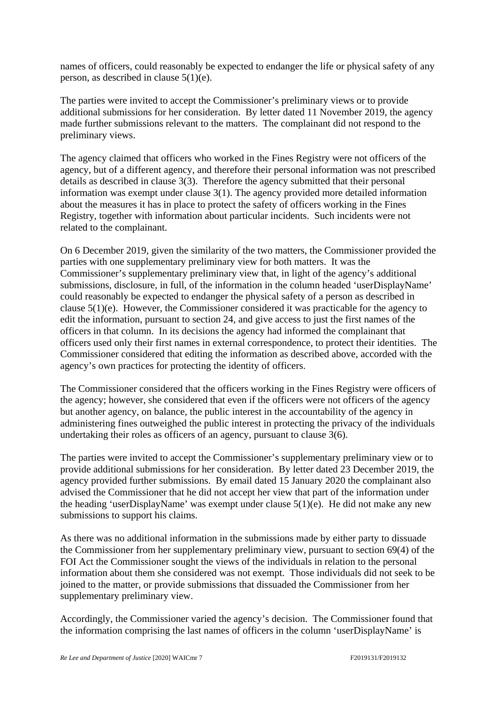names of officers, could reasonably be expected to endanger the life or physical safety of any person, as described in clause 5(1)(e).

The parties were invited to accept the Commissioner's preliminary views or to provide additional submissions for her consideration. By letter dated 11 November 2019, the agency made further submissions relevant to the matters. The complainant did not respond to the preliminary views.

The agency claimed that officers who worked in the Fines Registry were not officers of the agency, but of a different agency, and therefore their personal information was not prescribed details as described in clause 3(3). Therefore the agency submitted that their personal information was exempt under clause 3(1). The agency provided more detailed information about the measures it has in place to protect the safety of officers working in the Fines Registry, together with information about particular incidents. Such incidents were not related to the complainant.

On 6 December 2019, given the similarity of the two matters, the Commissioner provided the parties with one supplementary preliminary view for both matters. It was the Commissioner's supplementary preliminary view that, in light of the agency's additional submissions, disclosure, in full, of the information in the column headed 'userDisplayName' could reasonably be expected to endanger the physical safety of a person as described in clause 5(1)(e). However, the Commissioner considered it was practicable for the agency to edit the information, pursuant to section 24, and give access to just the first names of the officers in that column. In its decisions the agency had informed the complainant that officers used only their first names in external correspondence, to protect their identities. The Commissioner considered that editing the information as described above, accorded with the agency's own practices for protecting the identity of officers.

The Commissioner considered that the officers working in the Fines Registry were officers of the agency; however, she considered that even if the officers were not officers of the agency but another agency, on balance, the public interest in the accountability of the agency in administering fines outweighed the public interest in protecting the privacy of the individuals undertaking their roles as officers of an agency, pursuant to clause 3(6).

The parties were invited to accept the Commissioner's supplementary preliminary view or to provide additional submissions for her consideration. By letter dated 23 December 2019, the agency provided further submissions. By email dated 15 January 2020 the complainant also advised the Commissioner that he did not accept her view that part of the information under the heading 'userDisplayName' was exempt under clause 5(1)(e). He did not make any new submissions to support his claims.

As there was no additional information in the submissions made by either party to dissuade the Commissioner from her supplementary preliminary view, pursuant to section 69(4) of the FOI Act the Commissioner sought the views of the individuals in relation to the personal information about them she considered was not exempt. Those individuals did not seek to be joined to the matter, or provide submissions that dissuaded the Commissioner from her supplementary preliminary view.

Accordingly, the Commissioner varied the agency's decision. The Commissioner found that the information comprising the last names of officers in the column 'userDisplayName' is